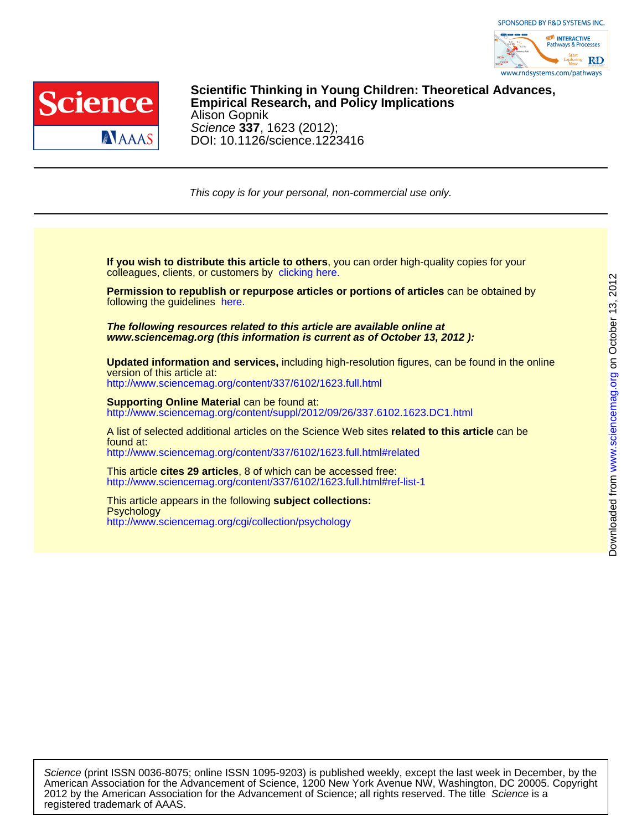



DOI: 10.1126/science.1223416 Science **337**, 1623 (2012); Alison Gopnik **Empirical Research, and Policy Implications Scientific Thinking in Young Children: Theoretical Advances,**

This copy is for your personal, non-commercial use only.

colleagues, clients, or customers by [clicking here.](http://www.sciencemag.org/about/permissions.dtl) **If you wish to distribute this article to others**, you can order high-quality copies for your

following the guidelines [here.](http://www.sciencemag.org/about/permissions.dtl) **Permission to republish or repurpose articles or portions of articles** can be obtained by

**www.sciencemag.org (this information is current as of October 13, 2012 ): The following resources related to this article are available online at**

<http://www.sciencemag.org/content/337/6102/1623.full.html> version of this article at: **Updated information and services,** including high-resolution figures, can be found in the online

http://www.sciencemag.org/content/suppl/2012/09/26/337.6102.1623.DC1.html **Supporting Online Material can be found at:** 

<http://www.sciencemag.org/content/337/6102/1623.full.html#related> found at: A list of selected additional articles on the Science Web sites **related to this article** can be

<http://www.sciencemag.org/content/337/6102/1623.full.html#ref-list-1> This article **cites 29 articles**, 8 of which can be accessed free:

<http://www.sciencemag.org/cgi/collection/psychology> **Psychology** This article appears in the following **subject collections:**

registered trademark of AAAS. 2012 by the American Association for the Advancement of Science; all rights reserved. The title Science is a American Association for the Advancement of Science, 1200 New York Avenue NW, Washington, DC 20005. Copyright Science (print ISSN 0036-8075; online ISSN 1095-9203) is published weekly, except the last week in December, by the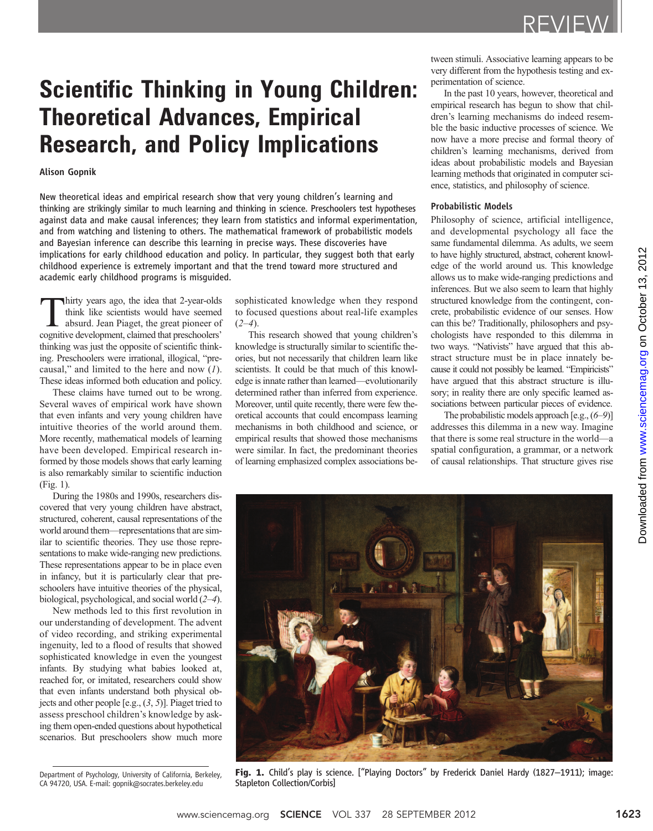# Scientific Thinking in Young Children: Theoretical Advances, Empirical Research, and Policy Implications

#### Alison Gopnik

New theoretical ideas and empirical research show that very young children's learning and thinking are strikingly similar to much learning and thinking in science. Preschoolers test hypotheses against data and make causal inferences; they learn from statistics and informal experimentation, and from watching and listening to others. The mathematical framework of probabilistic models and Bayesian inference can describe this learning in precise ways. These discoveries have implications for early childhood education and policy. In particular, they suggest both that early childhood experience is extremely important and that the trend toward more structured and academic early childhood programs is misguided.

hirty years ago, the idea that 2-year-olds think like scientists would have seemed absurd. Jean Piaget, the great pioneer of cognitive development, claimed that preschoolers' thinking was just the opposite of scientific thinking. Preschoolers were irrational, illogical, "precausal," and limited to the here and now  $(1)$ . These ideas informed both education and policy.

These claims have turned out to be wrong. Several waves of empirical work have shown that even infants and very young children have intuitive theories of the world around them. More recently, mathematical models of learning have been developed. Empirical research informed by those models shows that early learning is also remarkably similar to scientific induction (Fig. 1).

During the 1980s and 1990s, researchers discovered that very young children have abstract, structured, coherent, causal representations of the world around them—representations that are similar to scientific theories. They use those representations to make wide-ranging new predictions. These representations appear to be in place even in infancy, but it is particularly clear that preschoolers have intuitive theories of the physical, biological, psychological, and social world (2–4).

New methods led to this first revolution in our understanding of development. The advent of video recording, and striking experimental ingenuity, led to a flood of results that showed sophisticated knowledge in even the youngest infants. By studying what babies looked at, reached for, or imitated, researchers could show that even infants understand both physical objects and other people  $[e.g., (3, 5)]$ . Piaget tried to assess preschool children's knowledge by asking them open-ended questions about hypothetical scenarios. But preschoolers show much more sophisticated knowledge when they respond to focused questions about real-life examples  $(2-4)$ .

This research showed that young children's knowledge is structurally similar to scientific theories, but not necessarily that children learn like scientists. It could be that much of this knowledge is innate rather than learned—evolutionarily determined rather than inferred from experience. Moreover, until quite recently, there were few theoretical accounts that could encompass learning mechanisms in both childhood and science, or empirical results that showed those mechanisms were similar. In fact, the predominant theories of learning emphasized complex associations between stimuli. Associative learning appears to be very different from the hypothesis testing and experimentation of science.

In the past 10 years, however, theoretical and empirical research has begun to show that children's learning mechanisms do indeed resemble the basic inductive processes of science. We now have a more precise and formal theory of children's learning mechanisms, derived from ideas about probabilistic models and Bayesian learning methods that originated in computer science, statistics, and philosophy of science.

### Probabilistic Models

Philosophy of science, artificial intelligence, and developmental psychology all face the same fundamental dilemma. As adults, we seem to have highly structured, abstract, coherent knowledge of the world around us. This knowledge allows us to make wide-ranging predictions and inferences. But we also seem to learn that highly structured knowledge from the contingent, concrete, probabilistic evidence of our senses. How can this be? Traditionally, philosophers and psychologists have responded to this dilemma in two ways. "Nativists" have argued that this abstract structure must be in place innately because it could not possibly be learned. "Empiricists" have argued that this abstract structure is illusory; in reality there are only specific learned associations between particular pieces of evidence.

The probabilistic models approach [e.g., (6–9)] addresses this dilemma in a new way. Imagine that there is some real structure in the world—a spatial configuration, a grammar, or a network of causal relationships. That structure gives rise





Fig. 1. Child's play is science. ["Playing Doctors" by Frederick Daniel Hardy (1827–1911); image: Stapleton Collection/Corbis]

Department of Psychology, University of California, Berkeley, CA 94720, USA. E-mail: gopnik@socrates.berkeley.edu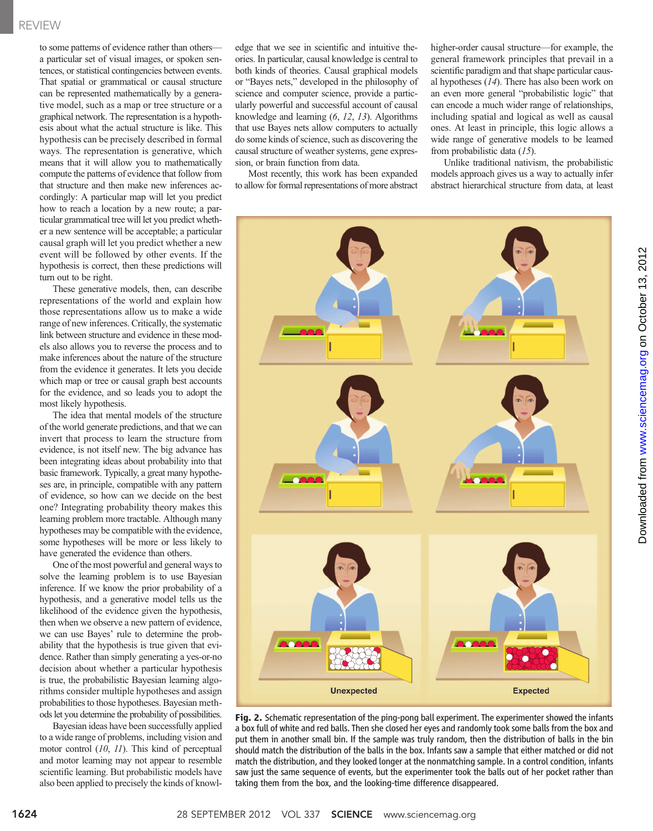# REVIEW

to some patterns of evidence rather than others a particular set of visual images, or spoken sentences, or statistical contingencies between events. That spatial or grammatical or causal structure can be represented mathematically by a generative model, such as a map or tree structure or a graphical network. The representation is a hypothesis about what the actual structure is like. This hypothesis can be precisely described in formal ways. The representation is generative, which means that it will allow you to mathematically compute the patterns of evidence that follow from that structure and then make new inferences accordingly: A particular map will let you predict how to reach a location by a new route; a particular grammatical tree will let you predict whether a new sentence will be acceptable; a particular causal graph will let you predict whether a new event will be followed by other events. If the hypothesis is correct, then these predictions will turn out to be right.

These generative models, then, can describe representations of the world and explain how those representations allow us to make a wide range of new inferences. Critically, the systematic link between structure and evidence in these models also allows you to reverse the process and to make inferences about the nature of the structure from the evidence it generates. It lets you decide which map or tree or causal graph best accounts for the evidence, and so leads you to adopt the most likely hypothesis.

The idea that mental models of the structure of the world generate predictions, and that we can invert that process to learn the structure from evidence, is not itself new. The big advance has been integrating ideas about probability into that basic framework. Typically, a great many hypotheses are, in principle, compatible with any pattern of evidence, so how can we decide on the best one? Integrating probability theory makes this learning problem more tractable. Although many hypotheses may be compatible with the evidence, some hypotheses will be more or less likely to have generated the evidence than others.

One of the most powerful and general ways to solve the learning problem is to use Bayesian inference. If we know the prior probability of a hypothesis, and a generative model tells us the likelihood of the evidence given the hypothesis, then when we observe a new pattern of evidence, we can use Bayes' rule to determine the probability that the hypothesis is true given that evidence. Rather than simply generating a yes-or-no decision about whether a particular hypothesis is true, the probabilistic Bayesian learning algorithms consider multiple hypotheses and assign probabilities to those hypotheses. Bayesian methods let you determine the probability of possibilities.

Bayesian ideas have been successfully applied to a wide range of problems, including vision and motor control (10, 11). This kind of perceptual and motor learning may not appear to resemble scientific learning. But probabilistic models have also been applied to precisely the kinds of knowledge that we see in scientific and intuitive theories. In particular, causal knowledge is central to both kinds of theories. Causal graphical models or "Bayes nets," developed in the philosophy of science and computer science, provide a particularly powerful and successful account of causal knowledge and learning (6, 12, 13). Algorithms that use Bayes nets allow computers to actually do some kinds of science, such as discovering the causal structure of weather systems, gene expression, or brain function from data.

Most recently, this work has been expanded to allow for formal representations of more abstract higher-order causal structure—for example, the general framework principles that prevail in a scientific paradigm and that shape particular causal hypotheses (14). There has also been work on an even more general "probabilistic logic" that can encode a much wider range of relationships, including spatial and logical as well as causal ones. At least in principle, this logic allows a wide range of generative models to be learned from probabilistic data (15).

Unlike traditional nativism, the probabilistic models approach gives us a way to actually infer abstract hierarchical structure from data, at least



Fig. 2. Schematic representation of the ping-pong ball experiment. The experimenter showed the infants a box full of white and red balls. Then she closed her eyes and randomly took some balls from the box and put them in another small bin. If the sample was truly random, then the distribution of balls in the bin should match the distribution of the balls in the box. Infants saw a sample that either matched or did not match the distribution, and they looked longer at the nonmatching sample. In a control condition, infants saw just the same sequence of events, but the experimenter took the balls out of her pocket rather than taking them from the box, and the looking-time difference disappeared.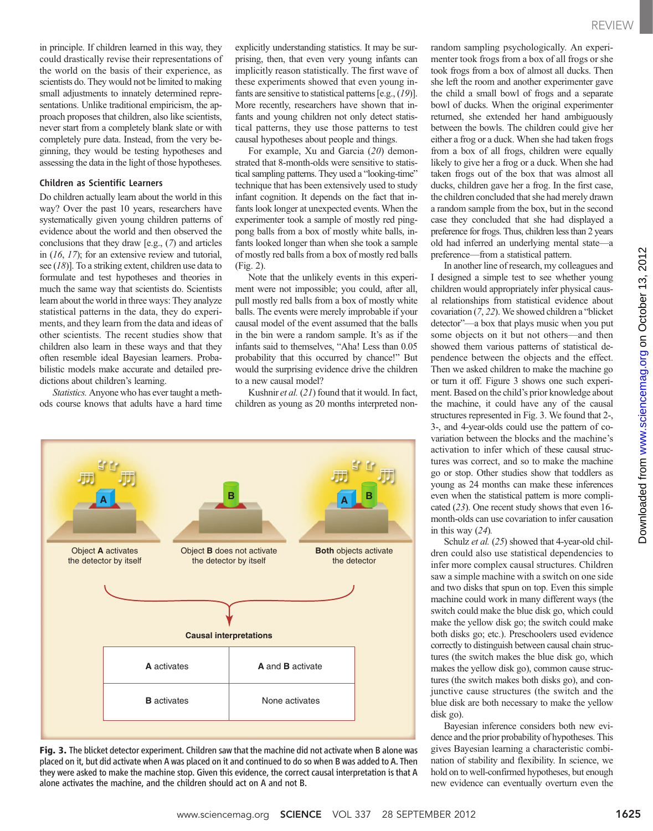in principle. If children learned in this way, they could drastically revise their representations of the world on the basis of their experience, as scientists do. They would not be limited to making small adjustments to innately determined representations. Unlike traditional empiricism, the approach proposes that children, also like scientists, never start from a completely blank slate or with completely pure data. Instead, from the very beginning, they would be testing hypotheses and assessing the data in the light of those hypotheses.

#### Children as Scientific Learners

Do children actually learn about the world in this way? Over the past 10 years, researchers have systematically given young children patterns of evidence about the world and then observed the conclusions that they draw [e.g., (7) and articles in (16, 17); for an extensive review and tutorial, see (18)]. To a striking extent, children use data to formulate and test hypotheses and theories in much the same way that scientists do. Scientists learn about the world in three ways: They analyze statistical patterns in the data, they do experiments, and they learn from the data and ideas of other scientists. The recent studies show that children also learn in these ways and that they often resemble ideal Bayesian learners. Probabilistic models make accurate and detailed predictions about children's learning.

Statistics. Anyone who has ever taught a methods course knows that adults have a hard time explicitly understanding statistics. It may be surprising, then, that even very young infants can implicitly reason statistically. The first wave of these experiments showed that even young infants are sensitive to statistical patterns [e.g.,  $(19)$ ]. More recently, researchers have shown that infants and young children not only detect statistical patterns, they use those patterns to test causal hypotheses about people and things.

For example, Xu and Garcia (20) demonstrated that 8-month-olds were sensitive to statistical sampling patterns. They used a "looking-time" technique that has been extensively used to study infant cognition. It depends on the fact that infants look longer at unexpected events. When the experimenter took a sample of mostly red pingpong balls from a box of mostly white balls, infants looked longer than when she took a sample of mostly red balls from a box of mostly red balls (Fig. 2).

Note that the unlikely events in this experiment were not impossible; you could, after all, pull mostly red balls from a box of mostly white balls. The events were merely improbable if your causal model of the event assumed that the balls in the bin were a random sample. It's as if the infants said to themselves, "Aha! Less than 0.05 probability that this occurred by chance!" But would the surprising evidence drive the children to a new causal model?

Kushnir et al. (21) found that it would. In fact, children as young as 20 months interpreted non-





random sampling psychologically. An experimenter took frogs from a box of all frogs or she took frogs from a box of almost all ducks. Then she left the room and another experimenter gave the child a small bowl of frogs and a separate bowl of ducks. When the original experimenter returned, she extended her hand ambiguously between the bowls. The children could give her either a frog or a duck. When she had taken frogs from a box of all frogs, children were equally likely to give her a frog or a duck. When she had taken frogs out of the box that was almost all ducks, children gave her a frog. In the first case, the children concluded that she had merely drawn a random sample from the box, but in the second case they concluded that she had displayed a preference for frogs. Thus, children less than 2 years old had inferred an underlying mental state—a preference—from a statistical pattern.

In another line of research, my colleagues and I designed a simple test to see whether young children would appropriately infer physical causal relationships from statistical evidence about covariation (7, 22). We showed children a "blicket detector"—a box that plays music when you put some objects on it but not others—and then showed them various patterns of statistical dependence between the objects and the effect. Then we asked children to make the machine go or turn it off. Figure 3 shows one such experiment. Based on the child's prior knowledge about the machine, it could have any of the causal structures represented in Fig. 3. We found that 2-, 3-, and 4-year-olds could use the pattern of covariation between the blocks and the machine's activation to infer which of these causal structures was correct, and so to make the machine go or stop. Other studies show that toddlers as young as 24 months can make these inferences even when the statistical pattern is more complicated (23). One recent study shows that even 16 month-olds can use covariation to infer causation in this way  $(24)$ .

Schulz et al. (25) showed that 4-year-old children could also use statistical dependencies to infer more complex causal structures. Children saw a simple machine with a switch on one side and two disks that spun on top. Even this simple machine could work in many different ways (the switch could make the blue disk go, which could make the yellow disk go; the switch could make both disks go; etc.). Preschoolers used evidence correctly to distinguish between causal chain structures (the switch makes the blue disk go, which makes the yellow disk go), common cause structures (the switch makes both disks go), and conjunctive cause structures (the switch and the blue disk are both necessary to make the yellow disk go).

Bayesian inference considers both new evidence and the prior probability of hypotheses. This gives Bayesian learning a characteristic combination of stability and flexibility. In science, we hold on to well-confirmed hypotheses, but enough new evidence can eventually overturn even the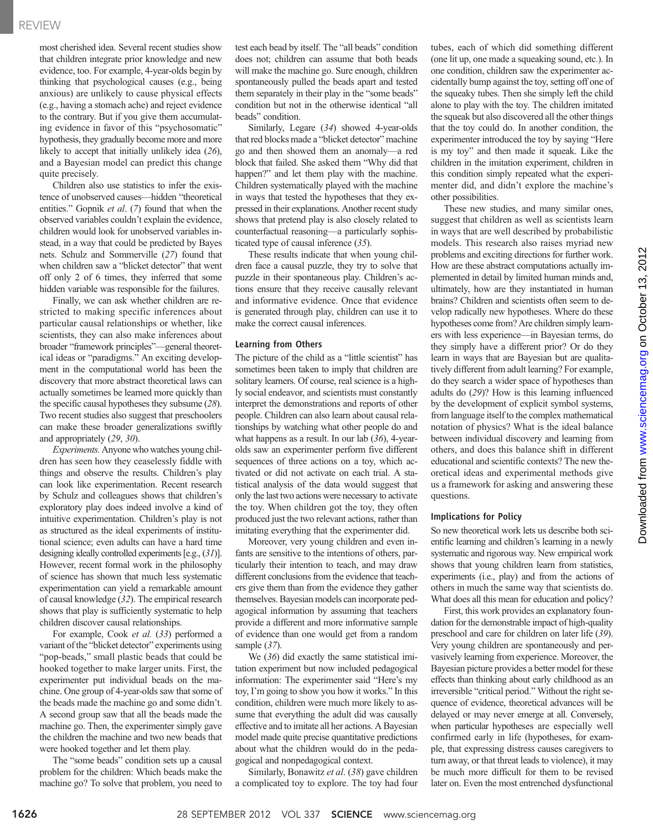## REVIEW

most cherished idea. Several recent studies show that children integrate prior knowledge and new evidence, too. For example, 4-year-olds begin by thinking that psychological causes (e.g., being anxious) are unlikely to cause physical effects (e.g., having a stomach ache) and reject evidence to the contrary. But if you give them accumulating evidence in favor of this "psychosomatic" hypothesis, they gradually become more and more likely to accept that initially unlikely idea (26), and a Bayesian model can predict this change quite precisely.

Children also use statistics to infer the existence of unobserved causes—hidden "theoretical entities." Gopnik et al. (7) found that when the observed variables couldn't explain the evidence, children would look for unobserved variables instead, in a way that could be predicted by Bayes nets. Schulz and Sommerville (27) found that when children saw a "blicket detector" that went off only 2 of 6 times, they inferred that some hidden variable was responsible for the failures.

Finally, we can ask whether children are restricted to making specific inferences about particular causal relationships or whether, like scientists, they can also make inferences about broader "framework principles"—general theoretical ideas or "paradigms." An exciting development in the computational world has been the discovery that more abstract theoretical laws can actually sometimes be learned more quickly than the specific causal hypotheses they subsume (28). Two recent studies also suggest that preschoolers can make these broader generalizations swiftly and appropriately (29, 30).

Experiments. Anyone who watches young children has seen how they ceaselessly fiddle with things and observe the results. Children's play can look like experimentation. Recent research by Schulz and colleagues shows that children's exploratory play does indeed involve a kind of intuitive experimentation. Children's play is not as structured as the ideal experiments of institutional science; even adults can have a hard time designing ideally controlled experiments [e.g., (31)]. However, recent formal work in the philosophy of science has shown that much less systematic experimentation can yield a remarkable amount of causal knowledge (32). The empirical research shows that play is sufficiently systematic to help children discover causal relationships.

For example, Cook et al. (33) performed a variant of the "blicket detector" experiments using "pop-beads," small plastic beads that could be hooked together to make larger units. First, the experimenter put individual beads on the machine. One group of 4-year-olds saw that some of the beads made the machine go and some didn't. A second group saw that all the beads made the machine go. Then, the experimenter simply gave the children the machine and two new beads that were hooked together and let them play.

The "some beads" condition sets up a causal problem for the children: Which beads make the machine go? To solve that problem, you need to test each bead by itself. The "all beads" condition does not; children can assume that both beads will make the machine go. Sure enough, children spontaneously pulled the beads apart and tested them separately in their play in the "some beads" condition but not in the otherwise identical "all beads" condition.

Similarly, Legare (34) showed 4-year-olds that red blocks made a "blicket detector" machine go and then showed them an anomaly—a red block that failed. She asked them "Why did that happen?" and let them play with the machine. Children systematically played with the machine in ways that tested the hypotheses that they expressed in their explanations. Another recent study shows that pretend play is also closely related to counterfactual reasoning—a particularly sophisticated type of causal inference (35).

These results indicate that when young children face a causal puzzle, they try to solve that puzzle in their spontaneous play. Children's actions ensure that they receive causally relevant and informative evidence. Once that evidence is generated through play, children can use it to make the correct causal inferences.

#### Learning from Others

The picture of the child as a "little scientist" has sometimes been taken to imply that children are solitary learners. Of course, real science is a highly social endeavor, and scientists must constantly interpret the demonstrations and reports of other people. Children can also learn about causal relationships by watching what other people do and what happens as a result. In our lab (36), 4-yearolds saw an experimenter perform five different sequences of three actions on a toy, which activated or did not activate on each trial. A statistical analysis of the data would suggest that only the last two actions were necessary to activate the toy. When children got the toy, they often produced just the two relevant actions, rather than imitating everything that the experimenter did.

Moreover, very young children and even infants are sensitive to the intentions of others, particularly their intention to teach, and may draw different conclusions from the evidence that teachers give them than from the evidence they gather themselves. Bayesian models can incorporate pedagogical information by assuming that teachers provide a different and more informative sample of evidence than one would get from a random sample  $(37)$ .

We (36) did exactly the same statistical imitation experiment but now included pedagogical information: The experimenter said "Here's my toy, I'm going to show you how it works." In this condition, children were much more likely to assume that everything the adult did was causally effective and to imitate all her actions. A Bayesian model made quite precise quantitative predictions about what the children would do in the pedagogical and nonpedagogical context.

Similarly, Bonawitz et al. (38) gave children a complicated toy to explore. The toy had four

tubes, each of which did something different (one lit up, one made a squeaking sound, etc.). In one condition, children saw the experimenter accidentally bump against the toy, setting off one of the squeaky tubes. Then she simply left the child alone to play with the toy. The children imitated the squeak but also discovered all the other things that the toy could do. In another condition, the experimenter introduced the toy by saying "Here is my toy" and then made it squeak. Like the children in the imitation experiment, children in this condition simply repeated what the experimenter did, and didn't explore the machine's other possibilities.

These new studies, and many similar ones, suggest that children as well as scientists learn in ways that are well described by probabilistic models. This research also raises myriad new problems and exciting directions for further work. How are these abstract computations actually implemented in detail by limited human minds and, ultimately, how are they instantiated in human brains? Children and scientists often seem to develop radically new hypotheses. Where do these hypotheses come from? Are children simply learners with less experience—in Bayesian terms, do they simply have a different prior? Or do they learn in ways that are Bayesian but are qualitatively different from adult learning? For example, do they search a wider space of hypotheses than adults do (29)? How is this learning influenced by the development of explicit symbol systems, from language itself to the complex mathematical notation of physics? What is the ideal balance between individual discovery and learning from others, and does this balance shift in different educational and scientific contexts? The new theoretical ideas and experimental methods give us a framework for asking and answering these questions.

#### Implications for Policy

So new theoretical work lets us describe both scientific learning and children's learning in a newly systematic and rigorous way. New empirical work shows that young children learn from statistics, experiments (i.e., play) and from the actions of others in much the same way that scientists do. What does all this mean for education and policy?

First, this work provides an explanatory foundation for the demonstrable impact of high-quality preschool and care for children on later life (39). Very young children are spontaneously and pervasively learning from experience. Moreover, the Bayesian picture provides a better model for these effects than thinking about early childhood as an irreversible "critical period." Without the right sequence of evidence, theoretical advances will be delayed or may never emerge at all. Conversely, when particular hypotheses are especially well confirmed early in life (hypotheses, for example, that expressing distress causes caregivers to turn away, or that threat leads to violence), it may be much more difficult for them to be revised later on. Even the most entrenched dysfunctional